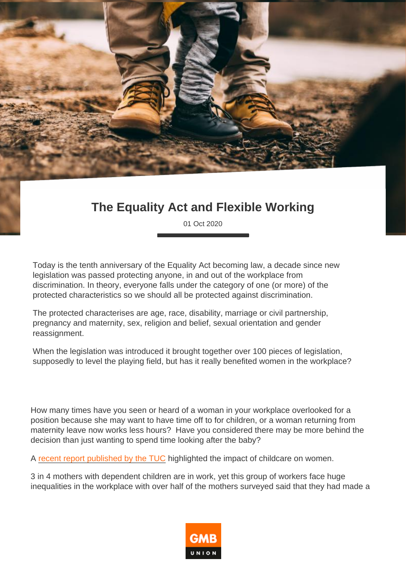## The Equality Act and Flexible Working

01 Oct 2020

Today is the tenth anniversary of the Equality Act becoming law, a decade since new legislation was passed protecting anyone, in and out of the workplace from discrimination. In theory, everyone falls under the category of one (or more) of the protected characteristics so we should all be protected against discrimination.

The protected characterises are age, race, disability, marriage or civil partnership, pregnancy and maternity, sex, religion and belief, sexual orientation and gender reassignment.

When the legislation was introduced it brought together over 100 pieces of legislation, supposedly to level the playing field, but has it really benefited women in the workplace?

How many times have you seen or heard of a woman in your workplace overlooked for a position because she may want to have time off to for children, or a woman returning from maternity leave now works less hours? Have you considered there may be more behind the decision than just wanting to spend time looking after the baby?

A [recent report published by the TUC](https://www.tuc.org.uk/research-analysis/reports/forced-out-cost-getting-childcare-wrong) highlighted the impact of childcare on women.

3 in 4 mothers with dependent children are in work, yet this group of workers face huge inequalities in the workplace with over half of the mothers surveyed said that they had made a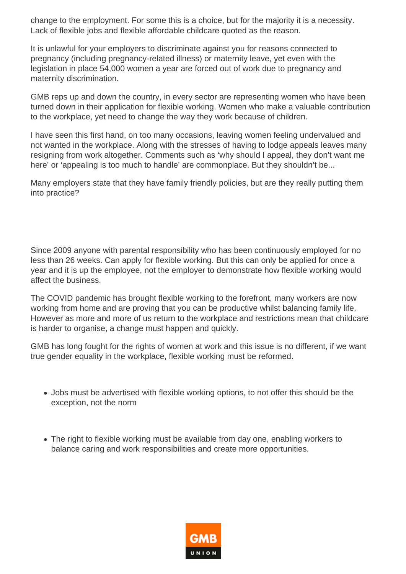change to the employment. For some this is a choice, but for the majority it is a necessity. Lack of flexible jobs and flexible affordable childcare quoted as the reason.

It is unlawful for your employers to discriminate against you for reasons connected to pregnancy (including pregnancy-related illness) or maternity leave, yet even with the legislation in place 54,000 women a year are forced out of work due to pregnancy and maternity discrimination.

GMB reps up and down the country, in every sector are representing women who have been turned down in their application for flexible working. Women who make a valuable contribution to the workplace, yet need to change the way they work because of children.

I have seen this first hand, on too many occasions, leaving women feeling undervalued and not wanted in the workplace. Along with the stresses of having to lodge appeals leaves many resigning from work altogether. Comments such as 'why should I appeal, they don't want me here' or 'appealing is too much to handle' are commonplace. But they shouldn't be...

Many employers state that they have family friendly policies, but are they really putting them into practice?

Since 2009 anyone with parental responsibility who has been continuously employed for no less than 26 weeks. Can apply for flexible working. But this can only be applied for once a year and it is up the employee, not the employer to demonstrate how flexible working would affect the business.

The COVID pandemic has brought flexible working to the forefront, many workers are now working from home and are proving that you can be productive whilst balancing family life. However as more and more of us return to the workplace and restrictions mean that childcare is harder to organise, a change must happen and quickly.

GMB has long fought for the rights of women at work and this issue is no different, if we want true gender equality in the workplace, flexible working must be reformed.

- Jobs must be advertised with flexible working options, to not offer this should be the exception, not the norm
- The right to flexible working must be available from day one, enabling workers to balance caring and work responsibilities and create more opportunities.